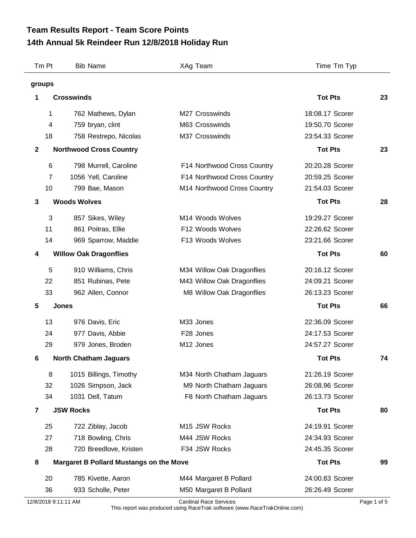## **14th Annual 5k Reindeer Run 12/8/2018 Holiday Run Team Results Report - Team Score Points**

|              | Tm Pt                   | <b>Bib Name</b>                                | XAg Team                    | Time Tm Typ     |    |
|--------------|-------------------------|------------------------------------------------|-----------------------------|-----------------|----|
|              | groups                  |                                                |                             |                 |    |
| 1            |                         | <b>Crosswinds</b>                              |                             | <b>Tot Pts</b>  | 23 |
|              | 1                       | 762 Mathews, Dylan                             | M27 Crosswinds              | 18:08.17 Scorer |    |
|              | $\overline{\mathbf{4}}$ | 759 bryan, clint                               | M63 Crosswinds              | 19:50.70 Scorer |    |
|              | 18                      | 758 Restrepo, Nicolas                          | M37 Crosswinds              | 23:54.33 Scorer |    |
| $\mathbf{2}$ |                         | <b>Northwood Cross Country</b>                 |                             | <b>Tot Pts</b>  | 23 |
|              | 6                       | 798 Murrell, Caroline                          | F14 Northwood Cross Country | 20:20.28 Scorer |    |
|              | $\overline{7}$          | 1056 Yell, Caroline                            | F14 Northwood Cross Country | 20:59.25 Scorer |    |
|              | 10                      | 799 Bae, Mason                                 | M14 Northwood Cross Country | 21:54.03 Scorer |    |
| 3            |                         | <b>Woods Wolves</b>                            |                             | <b>Tot Pts</b>  | 28 |
|              | 3                       | 857 Sikes, Wiley                               | M14 Woods Wolves            | 19:29.27 Scorer |    |
|              | 11                      | 861 Poitras, Ellie                             | F12 Woods Wolves            | 22:26.62 Scorer |    |
|              | 14                      | 969 Sparrow, Maddie                            | F13 Woods Wolves            | 23:21.66 Scorer |    |
| 4            |                         | <b>Willow Oak Dragonflies</b>                  |                             | <b>Tot Pts</b>  | 60 |
|              | 5                       | 910 Williams, Chris                            | M34 Willow Oak Dragonflies  | 20:16.12 Scorer |    |
|              | 22                      | 851 Rubinas, Pete                              | M43 Willow Oak Dragonflies  | 24:09.21 Scorer |    |
|              | 33                      | 962 Allen, Connor                              | M8 Willow Oak Dragonflies   | 26:13.23 Scorer |    |
| 5            |                         | <b>Jones</b>                                   |                             | <b>Tot Pts</b>  | 66 |
|              | 13                      | 976 Davis, Eric                                | M33 Jones                   | 22:36.09 Scorer |    |
|              | 24                      | 977 Davis, Abbie                               | F28 Jones                   | 24:17.53 Scorer |    |
|              | 29                      | 979 Jones, Broden                              | M12 Jones                   | 24:57.27 Scorer |    |
| 6            |                         | <b>North Chatham Jaguars</b>                   |                             | <b>Tot Pts</b>  | 74 |
|              | 8                       | 1015 Billings, Timothy                         | M34 North Chatham Jaguars   | 21:26.19 Scorer |    |
|              | 32                      | 1026 Simpson, Jack                             | M9 North Chatham Jaguars    | 26:08.96 Scorer |    |
|              | 34                      | 1031 Dell, Tatum                               | F8 North Chatham Jaguars    | 26:13.73 Scorer |    |
| 7            |                         | <b>JSW Rocks</b>                               |                             | <b>Tot Pts</b>  | 80 |
|              | 25                      | 722 Ziblay, Jacob                              | M15 JSW Rocks               | 24:19.91 Scorer |    |
|              | 27                      | 718 Bowling, Chris                             | M44 JSW Rocks               | 24:34.93 Scorer |    |
|              | 28                      | 720 Breedlove, Kristen                         | F34 JSW Rocks               | 24:45.35 Scorer |    |
| 8            |                         | <b>Margaret B Pollard Mustangs on the Move</b> |                             | <b>Tot Pts</b>  | 99 |
|              | 20                      | 785 Kivette, Aaron                             | M44 Margaret B Pollard      | 24:00.83 Scorer |    |
|              | 36                      | 933 Scholle, Peter                             | M50 Margaret B Pollard      | 26:26.49 Scorer |    |

12/8/2018 9:11:11 AM Cardinal Race Services Page 1 of 5

This report was produced using RaceTrak software (www.RaceTrakOnline.com)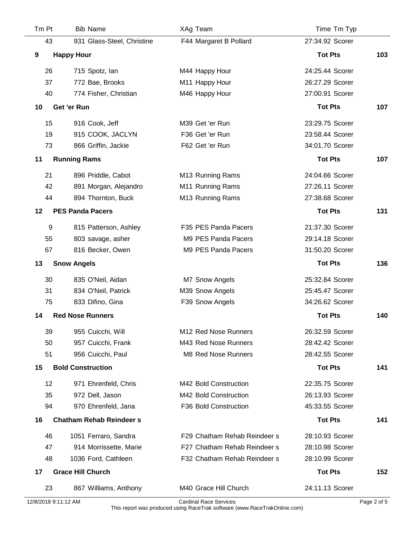| Tm Pt | <b>Bib Name</b>                 | XAg Team                     | Time Tm Typ     |     |
|-------|---------------------------------|------------------------------|-----------------|-----|
| 43    | 931 Glass-Steel, Christine      | F44 Margaret B Pollard       | 27:34.92 Scorer |     |
| 9     | <b>Happy Hour</b>               |                              | <b>Tot Pts</b>  | 103 |
| 26    | 715 Spotz, lan                  | M44 Happy Hour               | 24:25.44 Scorer |     |
| 37    | 772 Bae, Brooks                 | M11 Happy Hour               | 26:27.29 Scorer |     |
| 40    | 774 Fisher, Christian           | M46 Happy Hour               | 27:00.91 Scorer |     |
| 10    | Get 'er Run                     |                              | <b>Tot Pts</b>  | 107 |
| 15    | 916 Cook, Jeff                  | M39 Get 'er Run              | 23:29.75 Scorer |     |
| 19    | 915 COOK, JACLYN                | F36 Get 'er Run              | 23:58.44 Scorer |     |
| 73    | 866 Griffin, Jackie             | F62 Get 'er Run              | 34:01.70 Scorer |     |
| 11    | <b>Running Rams</b>             |                              | <b>Tot Pts</b>  | 107 |
| 21    | 896 Priddle, Cabot              | M13 Running Rams             | 24:04.66 Scorer |     |
| 42    | 891 Morgan, Alejandro           | M11 Running Rams             | 27:26.11 Scorer |     |
| 44    | 894 Thornton, Buck              | M13 Running Rams             | 27:38.68 Scorer |     |
| 12    | <b>PES Panda Pacers</b>         |                              | <b>Tot Pts</b>  | 131 |
| 9     | 815 Patterson, Ashley           | F35 PES Panda Pacers         | 21:37.30 Scorer |     |
| 55    | 803 savage, asher               | M9 PES Panda Pacers          | 29:14.18 Scorer |     |
| 67    | 816 Becker, Owen                | M9 PES Panda Pacers          | 31:50.20 Scorer |     |
| 13    | <b>Snow Angels</b>              |                              | <b>Tot Pts</b>  | 136 |
| 30    | 835 O'Neil, Aidan               | M7 Snow Angels               | 25:32.84 Scorer |     |
| 31    | 834 O'Neil, Patrick             | M39 Snow Angels              | 25:45.47 Scorer |     |
| 75    | 833 Difino, Gina                | F39 Snow Angels              | 34:26.62 Scorer |     |
| 14    | <b>Red Nose Runners</b>         |                              | <b>Tot Pts</b>  | 140 |
| 39    | 955 Cuicchi, Will               | M12 Red Nose Runners         | 26:32.59 Scorer |     |
| 50    | 957 Cuicchi, Frank              | M43 Red Nose Runners         | 28:42.42 Scorer |     |
| 51    | 956 Cuicchi, Paul               | M8 Red Nose Runners          | 28:42.55 Scorer |     |
| 15    | <b>Bold Construction</b>        |                              | <b>Tot Pts</b>  | 141 |
| 12    | 971 Ehrenfeld, Chris            | M42 Bold Construction        | 22:35.75 Scorer |     |
| 35    | 972 Dell, Jason                 | M42 Bold Construction        | 26:13.93 Scorer |     |
| 94    | 970 Ehrenfeld, Jana             | F36 Bold Construction        | 45:33.55 Scorer |     |
| 16    | <b>Chatham Rehab Reindeer s</b> |                              | <b>Tot Pts</b>  | 141 |
| 46    | 1051 Ferraro, Sandra            | F29 Chatham Rehab Reindeer s | 28:10.93 Scorer |     |
| 47    | 914 Morrissette, Marie          | F27 Chatham Rehab Reindeer s | 28:10.98 Scorer |     |
| 48    | 1036 Ford, Cathleen             | F32 Chatham Rehab Reindeer s | 28:10.99 Scorer |     |
| 17    | <b>Grace Hill Church</b>        |                              | <b>Tot Pts</b>  | 152 |
| 23    | 867 Williams, Anthony           | M40 Grace Hill Church        | 24:11.13 Scorer |     |

12/8/2018 9:11:12 AM Cardinal Race Services Page 2 of 5

This report was produced using RaceTrak software (www.RaceTrakOnline.com)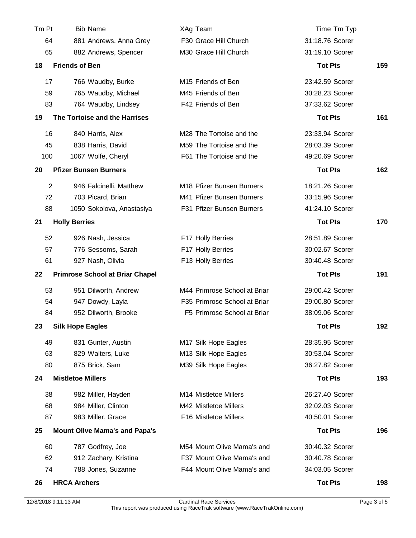| Tm Pt          | <b>Bib Name</b>                        | XAg Team                     | Time Tm Typ     |     |
|----------------|----------------------------------------|------------------------------|-----------------|-----|
| 64             | 881 Andrews, Anna Grey                 | F30 Grace Hill Church        | 31:18.76 Scorer |     |
| 65             | 882 Andrews, Spencer                   | M30 Grace Hill Church        | 31:19.10 Scorer |     |
| 18             | <b>Friends of Ben</b>                  |                              | <b>Tot Pts</b>  | 159 |
| 17             | 766 Waudby, Burke                      | M15 Friends of Ben           | 23:42.59 Scorer |     |
| 59             | 765 Waudby, Michael                    | M45 Friends of Ben           | 30:28.23 Scorer |     |
| 83             | 764 Waudby, Lindsey                    | F42 Friends of Ben           | 37:33.62 Scorer |     |
| 19             | The Tortoise and the Harrises          |                              | <b>Tot Pts</b>  | 161 |
| 16             | 840 Harris, Alex                       | M28 The Tortoise and the     | 23:33.94 Scorer |     |
| 45             | 838 Harris, David                      | M59 The Tortoise and the     | 28:03.39 Scorer |     |
| 100            | 1067 Wolfe, Cheryl                     | F61 The Tortoise and the     | 49:20.69 Scorer |     |
| 20             | <b>Pfizer Bunsen Burners</b>           |                              | <b>Tot Pts</b>  | 162 |
| $\overline{2}$ | 946 Falcinelli, Matthew                | M18 Pfizer Bunsen Burners    | 18:21.26 Scorer |     |
| 72             | 703 Picard, Brian                      | M41 Pfizer Bunsen Burners    | 33:15.96 Scorer |     |
| 88             | 1050 Sokolova, Anastasiya              | F31 Pfizer Bunsen Burners    | 41:24.10 Scorer |     |
| 21             | <b>Holly Berries</b>                   |                              | <b>Tot Pts</b>  | 170 |
| 52             | 926 Nash, Jessica                      | F17 Holly Berries            | 28:51.89 Scorer |     |
| 57             | 776 Sessoms, Sarah                     | F17 Holly Berries            | 30:02.67 Scorer |     |
| 61             | 927 Nash, Olivia                       | F13 Holly Berries            | 30:40.48 Scorer |     |
| 22             | <b>Primrose School at Briar Chapel</b> |                              | <b>Tot Pts</b>  | 191 |
| 53             | 951 Dilworth, Andrew                   | M44 Primrose School at Briar | 29:00.42 Scorer |     |
| 54             | 947 Dowdy, Layla                       | F35 Primrose School at Briar | 29:00.80 Scorer |     |
| 84             | 952 Dilworth, Brooke                   | F5 Primrose School at Briar  | 38:09.06 Scorer |     |
| 23             | <b>Silk Hope Eagles</b>                |                              | <b>Tot Pts</b>  | 192 |
| 49             | 831 Gunter, Austin                     | M17 Silk Hope Eagles         | 28:35.95 Scorer |     |
| 63             | 829 Walters, Luke                      | M13 Silk Hope Eagles         | 30:53.04 Scorer |     |
| 80             | 875 Brick, Sam                         | M39 Silk Hope Eagles         | 36:27.82 Scorer |     |
| 24             | <b>Mistletoe Millers</b>               |                              | <b>Tot Pts</b>  | 193 |
| 38             | 982 Miller, Hayden                     | M14 Mistletoe Millers        | 26:27.40 Scorer |     |
| 68             | 984 Miller, Clinton                    | M42 Mistletoe Millers        | 32:02.03 Scorer |     |
| 87             | 983 Miller, Grace                      | F16 Mistletoe Millers        | 40:50.01 Scorer |     |
| 25             | <b>Mount Olive Mama's and Papa's</b>   |                              | <b>Tot Pts</b>  | 196 |
| 60             | 787 Godfrey, Joe                       | M54 Mount Olive Mama's and   | 30:40.32 Scorer |     |
| 62             | 912 Zachary, Kristina                  | F37 Mount Olive Mama's and   | 30:40.78 Scorer |     |
| 74             | 788 Jones, Suzanne                     | F44 Mount Olive Mama's and   | 34:03.05 Scorer |     |
| 26             | <b>HRCA Archers</b>                    |                              | <b>Tot Pts</b>  | 198 |

 $\sim$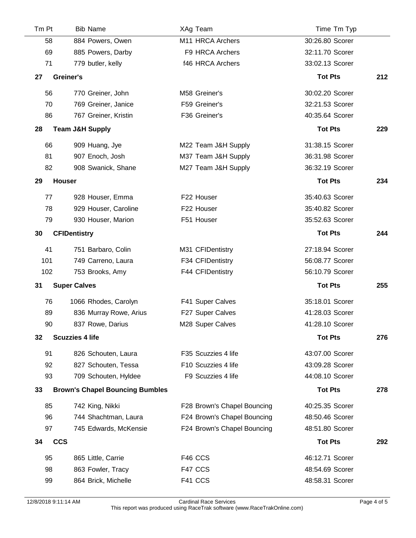|    | Tm Pt      | <b>Bib Name</b>                        | XAg Team                    | Time Tm Typ     |     |
|----|------------|----------------------------------------|-----------------------------|-----------------|-----|
|    | 58         | 884 Powers, Owen                       | M11 HRCA Archers            | 30:26.80 Scorer |     |
|    | 69         | 885 Powers, Darby                      | F9 HRCA Archers             | 32:11.70 Scorer |     |
|    | 71         | 779 butler, kelly                      | f46 HRCA Archers            | 33:02.13 Scorer |     |
| 27 |            | Greiner's                              |                             | <b>Tot Pts</b>  | 212 |
|    | 56         | 770 Greiner, John                      | M58 Greiner's               | 30:02.20 Scorer |     |
|    | 70         | 769 Greiner, Janice                    | F59 Greiner's               | 32:21.53 Scorer |     |
|    | 86         | 767 Greiner, Kristin                   | F36 Greiner's               | 40:35.64 Scorer |     |
| 28 |            | <b>Team J&amp;H Supply</b>             |                             | <b>Tot Pts</b>  | 229 |
|    | 66         | 909 Huang, Jye                         | M22 Team J&H Supply         | 31:38.15 Scorer |     |
|    | 81         | 907 Enoch, Josh                        | M37 Team J&H Supply         | 36:31.98 Scorer |     |
|    | 82         | 908 Swanick, Shane                     | M27 Team J&H Supply         | 36:32.19 Scorer |     |
| 29 |            | <b>Houser</b>                          |                             | <b>Tot Pts</b>  | 234 |
|    | 77         | 928 Houser, Emma                       | F22 Houser                  | 35:40.63 Scorer |     |
|    | 78         | 929 Houser, Caroline                   | F22 Houser                  | 35:40.82 Scorer |     |
|    | 79         | 930 Houser, Marion                     | F51 Houser                  | 35:52.63 Scorer |     |
| 30 |            | <b>CFIDentistry</b>                    |                             | <b>Tot Pts</b>  | 244 |
|    | 41         | 751 Barbaro, Colin                     | M31 CFIDentistry            | 27:18.94 Scorer |     |
|    | 101        | 749 Carreno, Laura                     | F34 CFIDentistry            | 56:08.77 Scorer |     |
|    | 102        | 753 Brooks, Amy                        | F44 CFIDentistry            | 56:10.79 Scorer |     |
| 31 |            | <b>Super Calves</b>                    |                             | <b>Tot Pts</b>  | 255 |
|    | 76         | 1066 Rhodes, Carolyn                   | F41 Super Calves            | 35:18.01 Scorer |     |
|    | 89         | 836 Murray Rowe, Arius                 | F27 Super Calves            | 41:28.03 Scorer |     |
|    | 90         | 837 Rowe, Darius                       | M28 Super Calves            | 41:28.10 Scorer |     |
| 32 |            | <b>Scuzzies 4 life</b>                 |                             | <b>Tot Pts</b>  | 276 |
|    | 91         | 826 Schouten, Laura                    | F35 Scuzzies 4 life         | 43:07.00 Scorer |     |
|    | 92         | 827 Schouten, Tessa                    | F10 Scuzzies 4 life         | 43:09.28 Scorer |     |
|    | 93         | 709 Schouten, Hyldee                   | F9 Scuzzies 4 life          | 44:08.10 Scorer |     |
| 33 |            | <b>Brown's Chapel Bouncing Bumbles</b> |                             | <b>Tot Pts</b>  | 278 |
|    | 85         | 742 King, Nikki                        | F28 Brown's Chapel Bouncing | 40:25.35 Scorer |     |
|    | 96         | 744 Shachtman, Laura                   | F24 Brown's Chapel Bouncing | 48:50.46 Scorer |     |
|    | 97         | 745 Edwards, McKensie                  | F24 Brown's Chapel Bouncing | 48:51.80 Scorer |     |
| 34 | <b>CCS</b> |                                        |                             | <b>Tot Pts</b>  | 292 |
|    | 95         | 865 Little, Carrie                     | F46 CCS                     | 46:12.71 Scorer |     |
|    | 98         | 863 Fowler, Tracy                      | F47 CCS                     | 48:54.69 Scorer |     |
|    | 99         | 864 Brick, Michelle                    | F41 CCS                     | 48:58.31 Scorer |     |
|    |            |                                        |                             |                 |     |

 $\mathcal{L}$ 

12/8/2018 9:11:14 AM Cardinal Race Services Page 4 of 5 This report was produced using RaceTrak software (www.RaceTrakOnline.com)